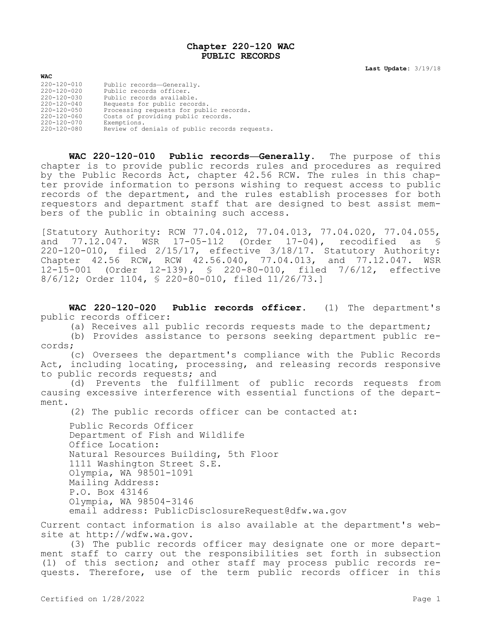## **Chapter 220-120 WAC PUBLIC RECORDS**

**Last Update:** 3/19/18

| <b>WAC</b>        |                                               |
|-------------------|-----------------------------------------------|
| 220-120-010       | Public records-Generally.                     |
| 220-120-020       | Public records officer.                       |
| $220 - 120 - 030$ | Public records available.                     |
| $220 - 120 - 040$ | Requests for public records.                  |
| $220 - 120 - 050$ | Processing requests for public records.       |
| $220 - 120 - 060$ | Costs of providing public records.            |
| 220-120-070       | Exemptions.                                   |
| 220-120-080       | Review of denials of public records requests. |

**WAC 220-120-010 Public records—Generally.** The purpose of this chapter is to provide public records rules and procedures as required by the Public Records Act, chapter 42.56 RCW. The rules in this chapter provide information to persons wishing to request access to public records of the department, and the rules establish processes for both requestors and department staff that are designed to best assist members of the public in obtaining such access.

[Statutory Authority: RCW 77.04.012, 77.04.013, 77.04.020, 77.04.055, and 77.12.047. WSR 17-05-112 (Order 17-04), recodified as § 220-120-010, filed 2/15/17, effective 3/18/17. Statutory Authority: Chapter 42.56 RCW, RCW 42.56.040, 77.04.013, and 77.12.047. WSR 12-15-001 (Order 12-139), § 220-80-010, filed 7/6/12, effective 8/6/12; Order 1104, § 220-80-010, filed 11/26/73.]

**WAC 220-120-020 Public records officer.** (1) The department's public records officer:

(a) Receives all public records requests made to the department;

(b) Provides assistance to persons seeking department public records;

(c) Oversees the department's compliance with the Public Records Act, including locating, processing, and releasing records responsive to public records requests; and

(d) Prevents the fulfillment of public records requests from causing excessive interference with essential functions of the department.

(2) The public records officer can be contacted at:

Public Records Officer Department of Fish and Wildlife Office Location: Natural Resources Building, 5th Floor 1111 Washington Street S.E. Olympia, WA 98501-1091 Mailing Address: P.O. Box 43146 Olympia, WA 98504-3146 email address: PublicDisclosureRequest@dfw.wa.gov

Current contact information is also available at the department's website at http://wdfw.wa.gov.

(3) The public records officer may designate one or more department staff to carry out the responsibilities set forth in subsection (1) of this section; and other staff may process public records requests. Therefore, use of the term public records officer in this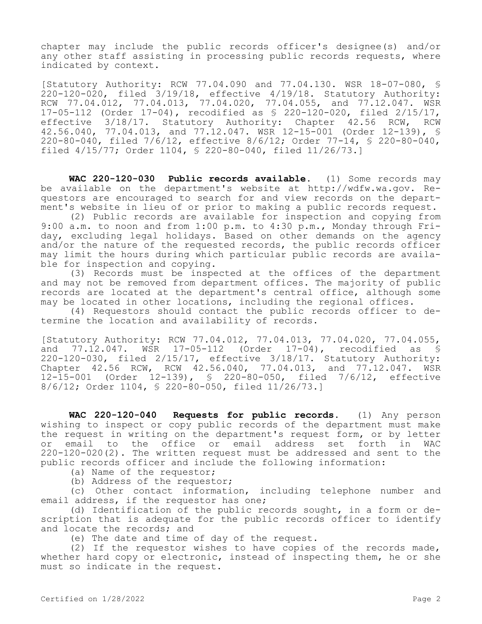chapter may include the public records officer's designee(s) and/or any other staff assisting in processing public records requests, where indicated by context.

[Statutory Authority: RCW 77.04.090 and 77.04.130. WSR 18-07-080, § 220-120-020, filed 3/19/18, effective 4/19/18. Statutory Authority: RCW 77.04.012, 77.04.013, 77.04.020, 77.04.055, and 77.12.047. WSR 17-05-112 (Order 17-04), recodified as § 220-120-020, filed 2/15/17, effective 3/18/17. Statutory Authority: Chapter 42.56 RCW, RCW 42.56.040, 77.04.013, and 77.12.047. WSR 12-15-001 (Order 12-139), § 220-80-040, filed 7/6/12, effective 8/6/12; Order 77-14, § 220-80-040, filed 4/15/77; Order 1104, § 220-80-040, filed 11/26/73.]

**WAC 220-120-030 Public records available.** (1) Some records may be available on the department's website at http://wdfw.wa.gov. Requestors are encouraged to search for and view records on the department's website in lieu of or prior to making a public records request.

(2) Public records are available for inspection and copying from 9:00 a.m. to noon and from 1:00 p.m. to 4:30 p.m., Monday through Friday, excluding legal holidays. Based on other demands on the agency and/or the nature of the requested records, the public records officer may limit the hours during which particular public records are available for inspection and copying.

(3) Records must be inspected at the offices of the department and may not be removed from department offices. The majority of public records are located at the department's central office, although some may be located in other locations, including the regional offices.

(4) Requestors should contact the public records officer to determine the location and availability of records.

[Statutory Authority: RCW 77.04.012, 77.04.013, 77.04.020, 77.04.055, and 77.12.047. WSR 17-05-112 (Order 17-04), recodified as § 220-120-030, filed 2/15/17, effective 3/18/17. Statutory Authority: Chapter 42.56 RCW, RCW 42.56.040, 77.04.013, and 77.12.047. WSR 12-15-001 (Order 12-139), § 220-80-050, filed 7/6/12, effective 8/6/12; Order 1104, § 220-80-050, filed 11/26/73.]

**WAC 220-120-040 Requests for public records.** (1) Any person wishing to inspect or copy public records of the department must make the request in writing on the department's request form, or by letter or email to the office or email address set forth in WAC 220-120-020(2). The written request must be addressed and sent to the public records officer and include the following information:

(a) Name of the requestor;

(b) Address of the requestor;

(c) Other contact information, including telephone number and email address, if the requestor has one;

(d) Identification of the public records sought, in a form or description that is adequate for the public records officer to identify and locate the records; and

(e) The date and time of day of the request.

(2) If the requestor wishes to have copies of the records made, whether hard copy or electronic, instead of inspecting them, he or she must so indicate in the request.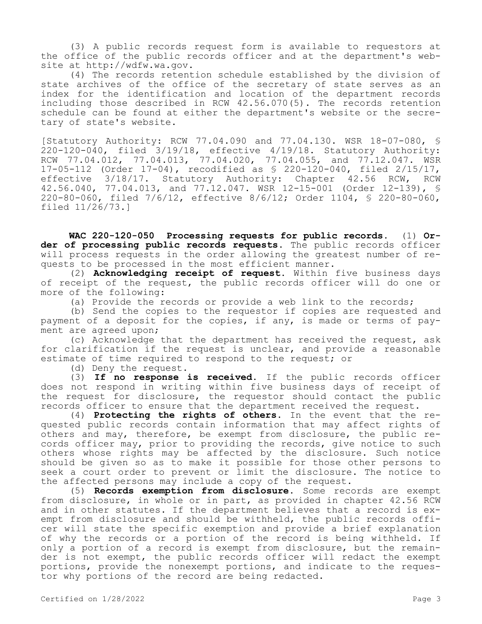(3) A public records request form is available to requestors at the office of the public records officer and at the department's website at http://wdfw.wa.gov.

(4) The records retention schedule established by the division of state archives of the office of the secretary of state serves as an index for the identification and location of the department records including those described in RCW 42.56.070(5). The records retention schedule can be found at either the department's website or the secretary of state's website.

[Statutory Authority: RCW 77.04.090 and 77.04.130. WSR 18-07-080, § 220-120-040, filed 3/19/18, effective 4/19/18. Statutory Authority: RCW 77.04.012, 77.04.013, 77.04.020, 77.04.055, and 77.12.047. WSR 17-05-112 (Order 17-04), recodified as § 220-120-040, filed 2/15/17, effective 3/18/17. Statutory Authority: Chapter 42.56 RCW, RCW 42.56.040, 77.04.013, and 77.12.047. WSR 12-15-001 (Order 12-139), § 220-80-060, filed 7/6/12, effective 8/6/12; Order 1104, § 220-80-060, filed 11/26/73.]

**WAC 220-120-050 Processing requests for public records.** (1) **Order of processing public records requests.** The public records officer will process requests in the order allowing the greatest number of requests to be processed in the most efficient manner.

(2) **Acknowledging receipt of request.** Within five business days of receipt of the request, the public records officer will do one or more of the following:

(a) Provide the records or provide a web link to the records;

(b) Send the copies to the requestor if copies are requested and payment of a deposit for the copies, if any, is made or terms of payment are agreed upon;

(c) Acknowledge that the department has received the request, ask for clarification if the request is unclear, and provide a reasonable estimate of time required to respond to the request; or

(d) Deny the request.

(3) **If no response is received.** If the public records officer does not respond in writing within five business days of receipt of the request for disclosure, the requestor should contact the public records officer to ensure that the department received the request.

(4) **Protecting the rights of others.** In the event that the requested public records contain information that may affect rights of others and may, therefore, be exempt from disclosure, the public records officer may, prior to providing the records, give notice to such others whose rights may be affected by the disclosure. Such notice should be given so as to make it possible for those other persons to seek a court order to prevent or limit the disclosure. The notice to the affected persons may include a copy of the request.

(5) **Records exemption from disclosure.** Some records are exempt from disclosure, in whole or in part, as provided in chapter 42.56 RCW and in other statutes. If the department believes that a record is exempt from disclosure and should be withheld, the public records officer will state the specific exemption and provide a brief explanation of why the records or a portion of the record is being withheld. If only a portion of a record is exempt from disclosure, but the remainder is not exempt, the public records officer will redact the exempt portions, provide the nonexempt portions, and indicate to the requestor why portions of the record are being redacted.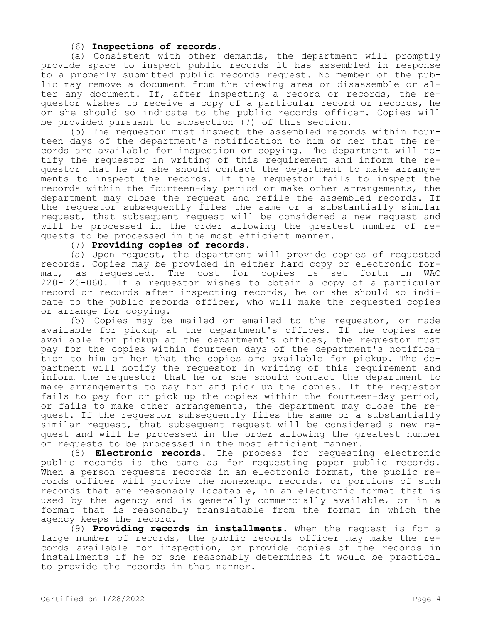## (6) **Inspections of records.**

(a) Consistent with other demands, the department will promptly provide space to inspect public records it has assembled in response to a properly submitted public records request. No member of the public may remove a document from the viewing area or disassemble or alter any document. If, after inspecting a record or records, the requestor wishes to receive a copy of a particular record or records, he or she should so indicate to the public records officer. Copies will be provided pursuant to subsection (7) of this section.

(b) The requestor must inspect the assembled records within fourteen days of the department's notification to him or her that the records are available for inspection or copying. The department will notify the requestor in writing of this requirement and inform the requestor that he or she should contact the department to make arrangements to inspect the records. If the requestor fails to inspect the records within the fourteen-day period or make other arrangements, the department may close the request and refile the assembled records. If the requestor subsequently files the same or a substantially similar request, that subsequent request will be considered a new request and will be processed in the order allowing the greatest number of requests to be processed in the most efficient manner.

## (7) **Providing copies of records.**

(a) Upon request, the department will provide copies of requested records. Copies may be provided in either hard copy or electronic for-<br>mat, as requested. The cost for copies is set forth in WAC mat, as requested. The cost for copies is set forth in WAC 220-120-060. If a requestor wishes to obtain a copy of a particular record or records after inspecting records, he or she should so indicate to the public records officer, who will make the requested copies or arrange for copying.

(b) Copies may be mailed or emailed to the requestor, or made available for pickup at the department's offices. If the copies are available for pickup at the department's offices, the requestor must pay for the copies within fourteen days of the department's notification to him or her that the copies are available for pickup. The department will notify the requestor in writing of this requirement and inform the requestor that he or she should contact the department to make arrangements to pay for and pick up the copies. If the requestor fails to pay for or pick up the copies within the fourteen-day period, or fails to make other arrangements, the department may close the request. If the requestor subsequently files the same or a substantially similar request, that subsequent request will be considered a new request and will be processed in the order allowing the greatest number of requests to be processed in the most efficient manner.

(8) **Electronic records.** The process for requesting electronic public records is the same as for requesting paper public records. When a person requests records in an electronic format, the public records officer will provide the nonexempt records, or portions of such records that are reasonably locatable, in an electronic format that is used by the agency and is generally commercially available, or in a format that is reasonably translatable from the format in which the agency keeps the record.

(9) **Providing records in installments.** When the request is for a large number of records, the public records officer may make the records available for inspection, or provide copies of the records in installments if he or she reasonably determines it would be practical to provide the records in that manner.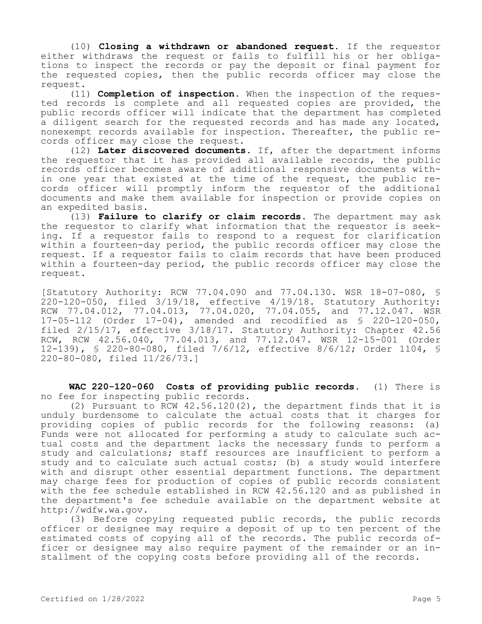(10) **Closing a withdrawn or abandoned request.** If the requestor either withdraws the request or fails to fulfill his or her obligations to inspect the records or pay the deposit or final payment for the requested copies, then the public records officer may close the request.

(11) **Completion of inspection.** When the inspection of the requested records is complete and all requested copies are provided, the public records officer will indicate that the department has completed a diligent search for the requested records and has made any located, nonexempt records available for inspection. Thereafter, the public records officer may close the request.

(12) **Later discovered documents.** If, after the department informs the requestor that it has provided all available records, the public records officer becomes aware of additional responsive documents within one year that existed at the time of the request, the public records officer will promptly inform the requestor of the additional documents and make them available for inspection or provide copies on an expedited basis.

(13) **Failure to clarify or claim records.** The department may ask the requestor to clarify what information that the requestor is seeking. If a requestor fails to respond to a request for clarification within a fourteen-day period, the public records officer may close the request. If a requestor fails to claim records that have been produced within a fourteen-day period, the public records officer may close the request.

[Statutory Authority: RCW 77.04.090 and 77.04.130. WSR 18-07-080, § 220-120-050, filed 3/19/18, effective 4/19/18. Statutory Authority: RCW 77.04.012, 77.04.013, 77.04.020, 77.04.055, and 77.12.047. WSR 17-05-112 (Order 17-04), amended and recodified as § 220-120-050, filed 2/15/17, effective 3/18/17. Statutory Authority: Chapter 42.56 RCW, RCW 42.56.040, 77.04.013, and 77.12.047. WSR 12-15-001 (Order 12-139), § 220-80-080, filed 7/6/12, effective 8/6/12; Order 1104, § 220-80-080, filed 11/26/73.]

**WAC 220-120-060 Costs of providing public records.** (1) There is no fee for inspecting public records.

(2) Pursuant to RCW 42.56.120(2), the department finds that it is unduly burdensome to calculate the actual costs that it charges for providing copies of public records for the following reasons: (a) Funds were not allocated for performing a study to calculate such actual costs and the department lacks the necessary funds to perform a study and calculations; staff resources are insufficient to perform a study and to calculate such actual costs; (b) a study would interfere with and disrupt other essential department functions. The department may charge fees for production of copies of public records consistent with the fee schedule established in RCW 42.56.120 and as published in the department's fee schedule available on the department website at http://wdfw.wa.gov.

(3) Before copying requested public records, the public records officer or designee may require a deposit of up to ten percent of the estimated costs of copying all of the records. The public records officer or designee may also require payment of the remainder or an installment of the copying costs before providing all of the records.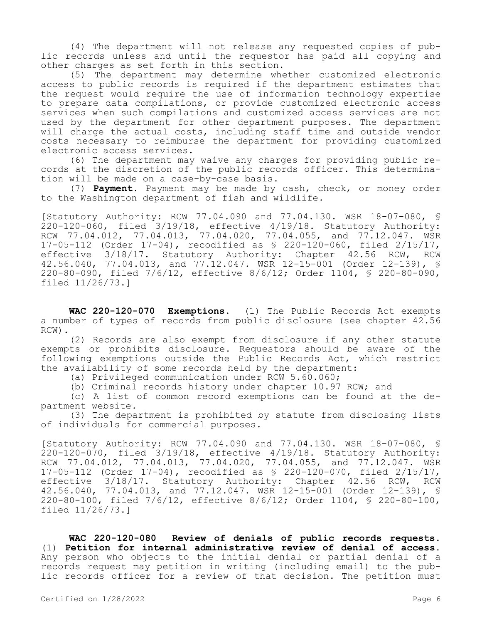(4) The department will not release any requested copies of public records unless and until the requestor has paid all copying and other charges as set forth in this section.

(5) The department may determine whether customized electronic access to public records is required if the department estimates that the request would require the use of information technology expertise to prepare data compilations, or provide customized electronic access services when such compilations and customized access services are not used by the department for other department purposes. The department will charge the actual costs, including staff time and outside vendor costs necessary to reimburse the department for providing customized electronic access services.

(6) The department may waive any charges for providing public records at the discretion of the public records officer. This determination will be made on a case-by-case basis.

(7) **Payment.** Payment may be made by cash, check, or money order to the Washington department of fish and wildlife.

[Statutory Authority: RCW 77.04.090 and 77.04.130. WSR 18-07-080, § 220-120-060, filed 3/19/18, effective 4/19/18. Statutory Authority: RCW 77.04.012, 77.04.013, 77.04.020, 77.04.055, and 77.12.047. WSR 17-05-112 (Order 17-04), recodified as § 220-120-060, filed 2/15/17, effective 3/18/17. Statutory Authority: Chapter 42.56 RCW, RCW 42.56.040, 77.04.013, and 77.12.047. WSR 12-15-001 (Order 12-139), § 220-80-090, filed 7/6/12, effective 8/6/12; Order 1104, § 220-80-090, filed 11/26/73.]

**WAC 220-120-070 Exemptions.** (1) The Public Records Act exempts a number of types of records from public disclosure (see chapter 42.56 RCW).

(2) Records are also exempt from disclosure if any other statute exempts or prohibits disclosure. Requestors should be aware of the following exemptions outside the Public Records Act, which restrict the availability of some records held by the department:

(a) Privileged communication under RCW 5.60.060;

(b) Criminal records history under chapter 10.97 RCW; and

(c) A list of common record exemptions can be found at the department website.

(3) The department is prohibited by statute from disclosing lists of individuals for commercial purposes.

[Statutory Authority: RCW 77.04.090 and 77.04.130. WSR 18-07-080, § 220-120-070, filed 3/19/18, effective 4/19/18. Statutory Authority: RCW 77.04.012, 77.04.013, 77.04.020, 77.04.055, and 77.12.047. WSR 17-05-112 (Order 17-04), recodified as § 220-120-070, filed 2/15/17, effective 3/18/17. Statutory Authority: Chapter 42.56 RCW, RCW 42.56.040, 77.04.013, and 77.12.047. WSR 12-15-001 (Order 12-139), § 220-80-100, filed 7/6/12, effective 8/6/12; Order 1104, § 220-80-100, filed 11/26/73.]

**WAC 220-120-080 Review of denials of public records requests.**  (1) **Petition for internal administrative review of denial of access.**  Any person who objects to the initial denial or partial denial of a records request may petition in writing (including email) to the public records officer for a review of that decision. The petition must